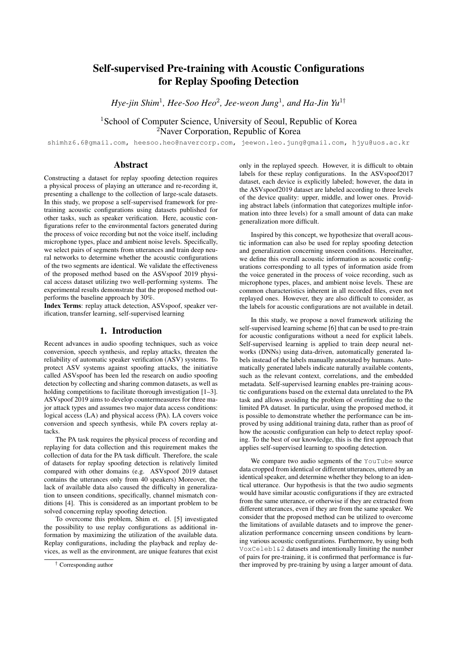# Self-supervised Pre-training with Acoustic Configurations for Replay Spoofing Detection

*Hye-jin Shim*<sup>1</sup> *, Hee-Soo Heo*<sup>2</sup> *, Jee-weon Jung*<sup>1</sup> *, and Ha-Jin Yu*<sup>1</sup>†

<sup>1</sup>School of Computer Science, University of Seoul, Republic of Korea <sup>2</sup>Naver Corporation, Republic of Korea

shimhz6.6@gmail.com, heesoo.heo@navercorp.com, jeewon.leo.jung@gmail.com, hjyu@uos.ac.kr

# Abstract

Constructing a dataset for replay spoofing detection requires a physical process of playing an utterance and re-recording it, presenting a challenge to the collection of large-scale datasets. In this study, we propose a self-supervised framework for pretraining acoustic configurations using datasets published for other tasks, such as speaker verification. Here, acoustic configurations refer to the environmental factors generated during the process of voice recording but not the voice itself, including microphone types, place and ambient noise levels. Specifically, we select pairs of segments from utterances and train deep neural networks to determine whether the acoustic configurations of the two segments are identical. We validate the effectiveness of the proposed method based on the ASVspoof 2019 physical access dataset utilizing two well-performing systems. The experimental results demonstrate that the proposed method outperforms the baseline approach by 30%.

Index Terms: replay attack detection, ASVspoof, speaker verification, transfer learning, self-supervised learning

### 1. Introduction

Recent advances in audio spoofing techniques, such as voice conversion, speech synthesis, and replay attacks, threaten the reliability of automatic speaker verification (ASV) systems. To protect ASV systems against spoofing attacks, the initiative called ASVspoof has been led the research on audio spoofing detection by collecting and sharing common datasets, as well as holding competitions to facilitate thorough investigation [1–3]. ASVspoof 2019 aims to develop countermeasures for three major attack types and assumes two major data access conditions: logical access (LA) and physical access (PA). LA covers voice conversion and speech synthesis, while PA covers replay attacks.

The PA task requires the physical process of recording and replaying for data collection and this requirement makes the collection of data for the PA task difficult. Therefore, the scale of datasets for replay spoofing detection is relatively limited compared with other domains (e.g. ASVspoof 2019 dataset contains the utterances only from 40 speakers) Moreover, the lack of available data also caused the difficulty in generalization to unseen conditions, specifically, channel mismatch conditions [4]. This is considered as an important problem to be solved concerning replay spoofing detection.

To overcome this problem, Shim et. el. [5] investigated the possibility to use replay configurations as additional information by maximizing the utilization of the available data. Replay configurations, including the playback and replay devices, as well as the environment, are unique features that exist only in the replayed speech. However, it is difficult to obtain labels for these replay configurations. In the ASVspoof2017 dataset, each device is explicitly labeled; however, the data in the ASVspoof2019 dataset are labeled according to three levels of the device quality: upper, middle, and lower ones. Providing abstract labels (information that categorizes multiple information into three levels) for a small amount of data can make generalization more difficult.

Inspired by this concept, we hypothesize that overall acoustic information can also be used for replay spoofing detection and generalization concerning unseen conditions. Hereinafter, we define this overall acoustic information as acoustic configurations corresponding to all types of information aside from the voice generated in the process of voice recording, such as microphone types, places, and ambient noise levels. These are common characteristics inherent in all recorded files, even not replayed ones. However, they are also difficult to consider, as the labels for acoustic configurations are not available in detail.

In this study, we propose a novel framework utilizing the self-supervised learning scheme [6] that can be used to pre-train for acoustic configurations without a need for explicit labels. Self-supervised learning is applied to train deep neural networks (DNNs) using data-driven, automatically generated labels instead of the labels manually annotated by humans. Automatically generated labels indicate naturally available contents, such as the relevant context, correlations, and the embedded metadata. Self-supervised learning enables pre-training acoustic configurations based on the external data unrelated to the PA task and allows avoiding the problem of overfitting due to the limited PA dataset. In particular, using the proposed method, it is possible to demonstrate whether the performance can be improved by using additional training data, rather than as proof of how the acoustic configuration can help to detect replay spoofing. To the best of our knowledge, this is the first approach that applies self-supervised learning to spoofing detection.

We compare two audio segments of the YouTube source data cropped from identical or different utterances, uttered by an identical speaker, and determine whether they belong to an identical utterance. Our hypothesis is that the two audio segments would have similar acoustic configurations if they are extracted from the same utterance, or otherwise if they are extracted from different utterances, even if they are from the same speaker. We consider that the proposed method can be utilized to overcome the limitations of available datasets and to improve the generalization performance concerning unseen conditions by learning various acoustic configurations. Furthermore, by using both VoxCeleb1&2 datasets and intentionally limiting the number of pairs for pre-training, it is confirmed that performance is further improved by pre-training by using a larger amount of data.

<sup>†</sup> Corresponding author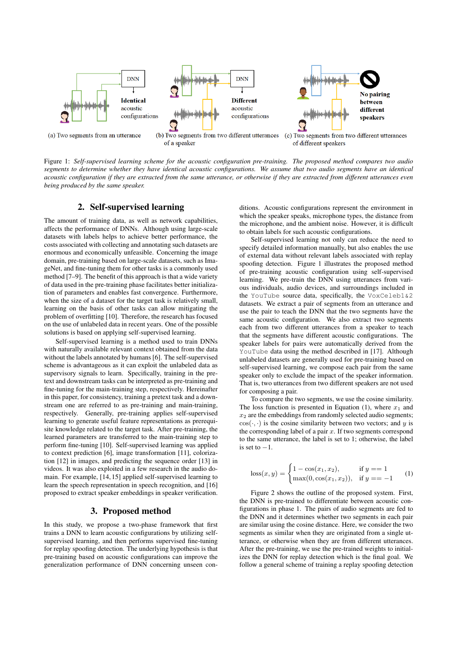

Figure 1: *Self-supervised learning scheme for the acoustic configuration pre-training. The proposed method compares two audio segments to determine whether they have identical acoustic configurations. We assume that two audio segments have an identical acoustic configuration if they are extracted from the same utterance, or otherwise if they are extracted from different utterances even being produced by the same speaker.*

# 2. Self-supervised learning

The amount of training data, as well as network capabilities, affects the performance of DNNs. Although using large-scale datasets with labels helps to achieve better performance, the costs associated with collecting and annotating such datasets are enormous and economically unfeasible. Concerning the image domain, pre-training based on large-scale datasets, such as ImageNet, and fine-tuning them for other tasks is a commonly used method [7–9]. The benefit of this approach is that a wide variety of data used in the pre-training phase facilitates better initialization of parameters and enables fast convergence. Furthermore, when the size of a dataset for the target task is relatively small, learning on the basis of other tasks can allow mitigating the problem of overfitting [10]. Therefore, the research has focused on the use of unlabeled data in recent years. One of the possible solutions is based on applying self-supervised learning.

Self-supervised learning is a method used to train DNNs with naturally available relevant context obtained from the data without the labels annotated by humans [6]. The self-supervised scheme is advantageous as it can exploit the unlabeled data as supervisory signals to learn. Specifically, training in the pretext and downstream tasks can be interpreted as pre-training and fine-tuning for the main-training step, respectively. Hereinafter in this paper, for consistency, training a pretext task and a downstream one are referred to as pre-training and main-training, respectively. Generally, pre-training applies self-supervised learning to generate useful feature representations as prerequisite knowledge related to the target task. After pre-training, the learned parameters are transferred to the main-training step to perform fine-tuning [10]. Self-supervised learning was applied to context prediction [6], image transformation [11], colorization [12] in images, and predicting the sequence order [13] in videos. It was also exploited in a few research in the audio domain. For example, [14, 15] applied self-supervised learning to learn the speech representation in speech recognition, and [16] proposed to extract speaker embeddings in speaker verification.

### 3. Proposed method

In this study, we propose a two-phase framework that first trains a DNN to learn acoustic configurations by utilizing selfsupervised learning, and then performs supervised fine-tuning for replay spoofing detection. The underlying hypothesis is that pre-training based on acoustic configurations can improve the generalization performance of DNN concerning unseen conditions. Acoustic configurations represent the environment in which the speaker speaks, microphone types, the distance from the microphone, and the ambient noise. However, it is difficult to obtain labels for such acoustic configurations.

Self-supervised learning not only can reduce the need to specify detailed information manually, but also enables the use of external data without relevant labels associated with replay spoofing detection. Figure 1 illustrates the proposed method of pre-training acoustic configuration using self-supervised learning. We pre-train the DNN using utterances from various individuals, audio devices, and surroundings included in the YouTube source data, specifically, the VoxCeleb1&2 datasets. We extract a pair of segments from an utterance and use the pair to teach the DNN that the two segments have the same acoustic configuration. We also extract two segments each from two different utterances from a speaker to teach that the segments have different acoustic configurations. The speaker labels for pairs were automatically derived from the YouTube data using the method described in [17]. Although unlabeled datasets are generally used for pre-training based on self-supervised learning, we compose each pair from the same speaker only to exclude the impact of the speaker information. That is, two utterances from two different speakers are not used for composing a pair.

To compare the two segments, we use the cosine similarity. The loss function is presented in Equation (1), where  $x_1$  and  $x_2$  are the embeddings from randomly selected audio segments;  $\cos(\cdot, \cdot)$  is the cosine similarity between two vectors; and y is the corresponding label of a pair  $x$ . If two segments correspond to the same utterance, the label is set to 1; otherwise, the label is set to  $-1$ .

$$
loss(x, y) = \begin{cases} 1 - \cos(x_1, x_2), & \text{if } y == 1\\ \max(0, \cos(x_1, x_2)), & \text{if } y == -1 \end{cases}
$$
 (1)

Figure 2 shows the outline of the proposed system. First, the DNN is pre-trained to differentiate between acoustic configurations in phase 1. The pairs of audio segments are fed to the DNN and it determines whether two segments in each pair are similar using the cosine distance. Here, we consider the two segments as similar when they are originated from a single utterance, or otherwise when they are from different utterances. After the pre-training, we use the pre-trained weights to initializes the DNN for replay detection which is the final goal. We follow a general scheme of training a replay spoofing detection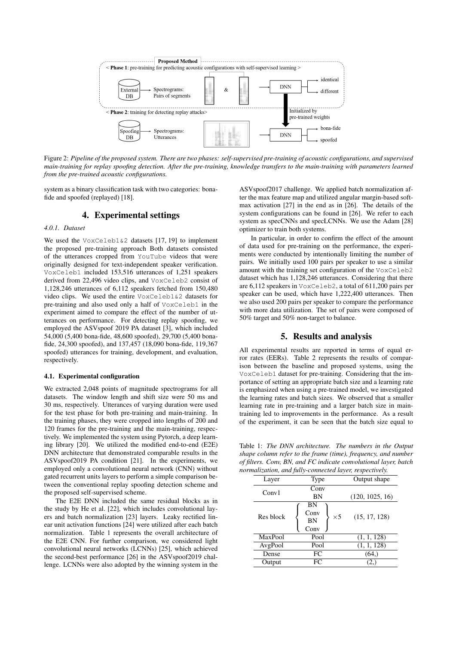

Figure 2: *Pipeline of the proposed system. There are two phases: self-supervised pre-training of acoustic configurations, and supervised main-training for replay spoofing detection. After the pre-training, knowledge transfers to the main-training with parameters learned from the pre-trained acoustic configurations.*

system as a binary classification task with two categories: bonafide and spoofed (replayed) [18].

# 4. Experimental settings

#### *4.0.1. Dataset*

We used the VoxCeleb1&2 datasets [17, 19] to implement the proposed pre-training approach Both datasets consisted of the utterances cropped from YouTube videos that were originally designed for text-independent speaker verification. VoxCeleb1 included 153,516 utterances of 1,251 speakers derived from 22,496 video clips, and VoxCeleb2 consist of 1,128,246 utterances of 6,112 speakers fetched from 150,480 video clips. We used the entire VoxCeleb1&2 datasets for pre-training and also used only a half of VoxCeleb1 in the experiment aimed to compare the effect of the number of utterances on performance. For detecting replay spoofing, we employed the ASVspoof 2019 PA dataset [3], which included 54,000 (5,400 bona-fide, 48,600 spoofed), 29,700 (5,400 bonafide, 24,300 spoofed), and 137,457 (18,090 bona-fide, 119,367 spoofed) utterances for training, development, and evaluation, respectively.

#### 4.1. Experimental configuration

We extracted 2,048 points of magnitude spectrograms for all datasets. The window length and shift size were 50 ms and 30 ms, respectively. Utterances of varying duration were used for the test phase for both pre-training and main-training. In the training phases, they were cropped into lengths of 200 and 120 frames for the pre-training and the main-training, respectively. We implemented the system using Pytorch, a deep learning library [20]. We utilized the modified end-to-end (E2E) DNN architecture that demonstrated comparable results in the ASVspoof2019 PA condition [21]. In the experiments, we employed only a convolutional neural network (CNN) without gated recurrent units layers to perform a simple comparison between the conventional replay spoofing detection scheme and the proposed self-supervised scheme.

The E2E DNN included the same residual blocks as in the study by He et al. [22], which includes convolutional layers and batch normalization [23] layers. Leaky rectified linear unit activation functions [24] were utilized after each batch normalization. Table 1 represents the overall architecture of the E2E CNN. For further comparison, we considered light convolutional neural networks (LCNNs) [25], which achieved the second-best performance [26] in the ASVspoof2019 challenge. LCNNs were also adopted by the winning system in the

ASVspoof2017 challenge. We applied batch normalization after the max feature map and utilized angular margin-based softmax activation [27] in the end as in [26]. The details of the system configurations can be found in [26]. We refer to each system as specCNNs and specLCNNs. We use the Adam [28] optimizer to train both systems.

In particular, in order to confirm the effect of the amount of data used for pre-training on the performance, the experiments were conducted by intentionally limiting the number of pairs. We initially used 100 pairs per speaker to use a similar amount with the training set configuration of the VoxCeleb2 dataset which has 1,128,246 utterances. Considering that there are 6,112 speakers in VoxCeleb2, a total of 611,200 pairs per speaker can be used, which have 1,222,400 utterances. Then we also used 200 pairs per speaker to compare the performance with more data utilization. The set of pairs were composed of 50% target and 50% non-target to balance.

### 5. Results and analysis

All experimental results are reported in terms of equal error rates (EERs). Table 2 represents the results of comparison between the baseline and proposed systems, using the VoxCeleb1 dataset for pre-training. Considering that the importance of setting an appropriate batch size and a learning rate is emphasized when using a pre-trained model, we investigated the learning rates and batch sizes. We observed that a smaller learning rate in pre-training and a larger batch size in maintraining led to improvements in the performance. As a result of the experiment, it can be seen that the batch size equal to

Table 1: *The DNN architecture. The numbers in the Output shape column refer to the frame (time), frequency, and number of filters. Conv, BN, and FC indicate convolutional layer, batch normalization, and fully-connected layer, respectively.*

| Layer     | Type                                          | Output shape    |  |
|-----------|-----------------------------------------------|-----------------|--|
| Conv1     | Conv                                          |                 |  |
|           | ΒN                                            | (120, 1025, 16) |  |
| Res block | ΒN<br>Conv<br>$\times$ 5<br><b>BN</b><br>Conv | (15, 17, 128)   |  |
| MaxPool   | Pool                                          | (1, 1, 128)     |  |
| AvgPool   | Pool                                          | (1, 1, 128)     |  |
| Dense     | FC                                            | (64, )          |  |
| Output    | FC                                            | 2.              |  |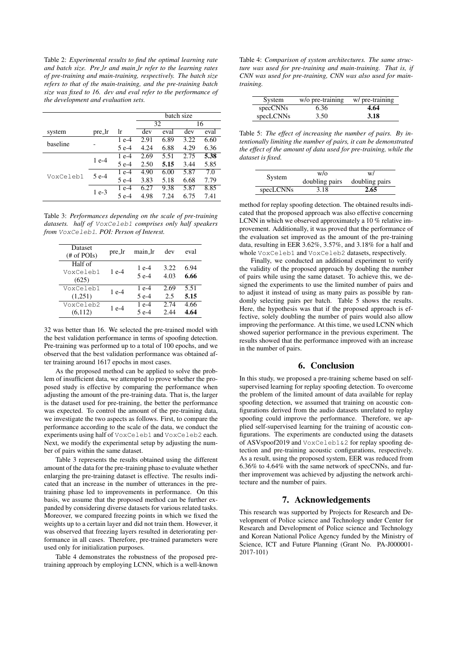Table 2: *Experimental results to find the optimal learning rate and batch size. Pre lr and main lr refer to the learning rates of pre-training and main-training, respectively. The batch size refers to that of the main-training, and the pre-training batch size was fixed to 16. dev and eval refer to the performance of the development and evaluation sets.*

|           |        |        | batch size |      |      |      |
|-----------|--------|--------|------------|------|------|------|
|           |        |        | 32         |      | 16   |      |
| system    | pre_lr | lr     | dev        | eval | dev  | eval |
| baseline  |        | $1e-4$ | 2.91       | 6.89 | 3.22 | 6.60 |
|           |        | 5 e-4  | 4.24       | 6.88 | 4.29 | 6.36 |
| VoxCeleb1 | $1e-4$ | $1e-4$ | 2.69       | 5.51 | 2.75 | 5.38 |
|           |        | 5 e-4  | 2.50       | 5.15 | 3.44 | 5.85 |
|           | 5 e-4  | $1e-4$ | 4.90       | 6.00 | 5.87 | 7.0  |
|           |        | 5 e-4  | 3.83       | 5.18 | 6.68 | 7.79 |
|           | $1e-3$ | 1 e-4  | 6.27       | 9.38 | 5.87 | 8.85 |
|           |        | 5 e-4  | 4.98       | 7.24 | 6.75 | 7.41 |

Table 3: *Performances depending on the scale of pre-training datasets. half of* VoxCeleb1 *comprises only half speakers from* VoxCeleb1*. POI: Person of Interest.*

| Dataset<br>$#$ of POIs)       | pre_lr | main_lr          | dev          | eval         |
|-------------------------------|--------|------------------|--------------|--------------|
| Half of<br>VoxCeleb1<br>(625) | 1 e-4  | $1e-4$<br>$5e-4$ | 3.22<br>4.03 | 6.94<br>6.66 |
| VoxCeleb1                     | $1e-4$ | $1e-4$           | 2.69         | 5.51         |
| (1,251)                       |        | 5 e-4            | 2.5          | 5.15         |
| VoxCeleb2                     | 1 e-4  | 1 e-4            | 2.74         | 4.66         |
| (6,112)                       |        | 5 e-4            | 2.44         | 4.64         |

32 was better than 16. We selected the pre-trained model with the best validation performance in terms of spoofing detection. Pre-training was performed up to a total of 100 epochs, and we observed that the best validation performance was obtained after training around 1617 epochs in most cases.

As the proposed method can be applied to solve the problem of insufficient data, we attempted to prove whether the proposed study is effective by comparing the performance when adjusting the amount of the pre-training data. That is, the larger is the dataset used for pre-training, the better the performance was expected. To control the amount of the pre-training data, we investigate the two aspects as follows. First, to compare the performance according to the scale of the data, we conduct the experiments using half of VoxCeleb1 and VoxCeleb2 each. Next, we modify the experimental setup by adjusting the number of pairs within the same dataset.

Table 3 represents the results obtained using the different amount of the data for the pre-training phase to evaluate whether enlarging the pre-training dataset is effective. The results indicated that an increase in the number of utterances in the pretraining phase led to improvements in performance. On this basis, we assume that the proposed method can be further expanded by considering diverse datasets for various related tasks. Moreover, we compared freezing points in which we fixed the weights up to a certain layer and did not train them. However, it was observed that freezing layers resulted in deteriorating performance in all cases. Therefore, pre-trained parameters were used only for initialization purposes.

Table 4 demonstrates the robustness of the proposed pretraining approach by employing LCNN, which is a well-known

Table 4: *Comparison of system architectures. The same structure was used for pre-training and main-training. That is, if CNN was used for pre-training, CNN was also used for maintraining.*

| System    | w/o pre-training | w/ pre-training |
|-----------|------------------|-----------------|
| specCNNs  | 6.36             | 4.64            |
| specLCNNs | 3.50             | 3.18            |

Table 5: *The effect of increasing the number of pairs. By intentionally limiting the number of pairs, it can be demonstrated the effect of the amount of data used for pre-training, while the dataset is fixed.*

| System    | W/O            | W/             |  |
|-----------|----------------|----------------|--|
|           | doubling pairs | doubling pairs |  |
| specLCNNs | 3.18           | 2.65           |  |

method for replay spoofing detection. The obtained results indicated that the proposed approach was also effective concerning LCNN in which we observed approximately a 10 % relative improvement. Additionally, it was proved that the performance of the evaluation set improved as the amount of the pre-training data, resulting in EER 3.62%, 3.57%, and 3.18% for a half and whole VoxCeleb1 and VoxCeleb2 datasets, respectively.

Finally, we conducted an additional experiment to verify the validity of the proposed approach by doubling the number of pairs while using the same dataset. To achieve this, we designed the experiments to use the limited number of pairs and to adjust it instead of using as many pairs as possible by randomly selecting pairs per batch. Table 5 shows the results. Here, the hypothesis was that if the proposed approach is effective, solely doubling the number of pairs would also allow improving the performance. At this time, we used LCNN which showed superior performance in the previous experiment. The results showed that the performance improved with an increase in the number of pairs.

# 6. Conclusion

In this study, we proposed a pre-training scheme based on selfsupervised learning for replay spoofing detection. To overcome the problem of the limited amount of data available for replay spoofing detection, we assumed that training on acoustic configurations derived from the audio datasets unrelated to replay spoofing could improve the performance. Therefore, we applied self-supervised learning for the training of acoustic configurations. The experiments are conducted using the datasets of ASVspoof2019 and VoxCeleb1&2 for replay spoofing detection and pre-training acoustic configurations, respectively. As a result, using the proposed system, EER was reduced from 6.36% to 4.64% with the same network of specCNNs, and further improvement was achieved by adjusting the network architecture and the number of pairs.

### 7. Acknowledgements

This research was supported by Projects for Research and Development of Police science and Technology under Center for Research and Development of Police science and Technology and Korean National Police Agency funded by the Ministry of Science, ICT and Future Planning (Grant No. PA-J000001- 2017-101)